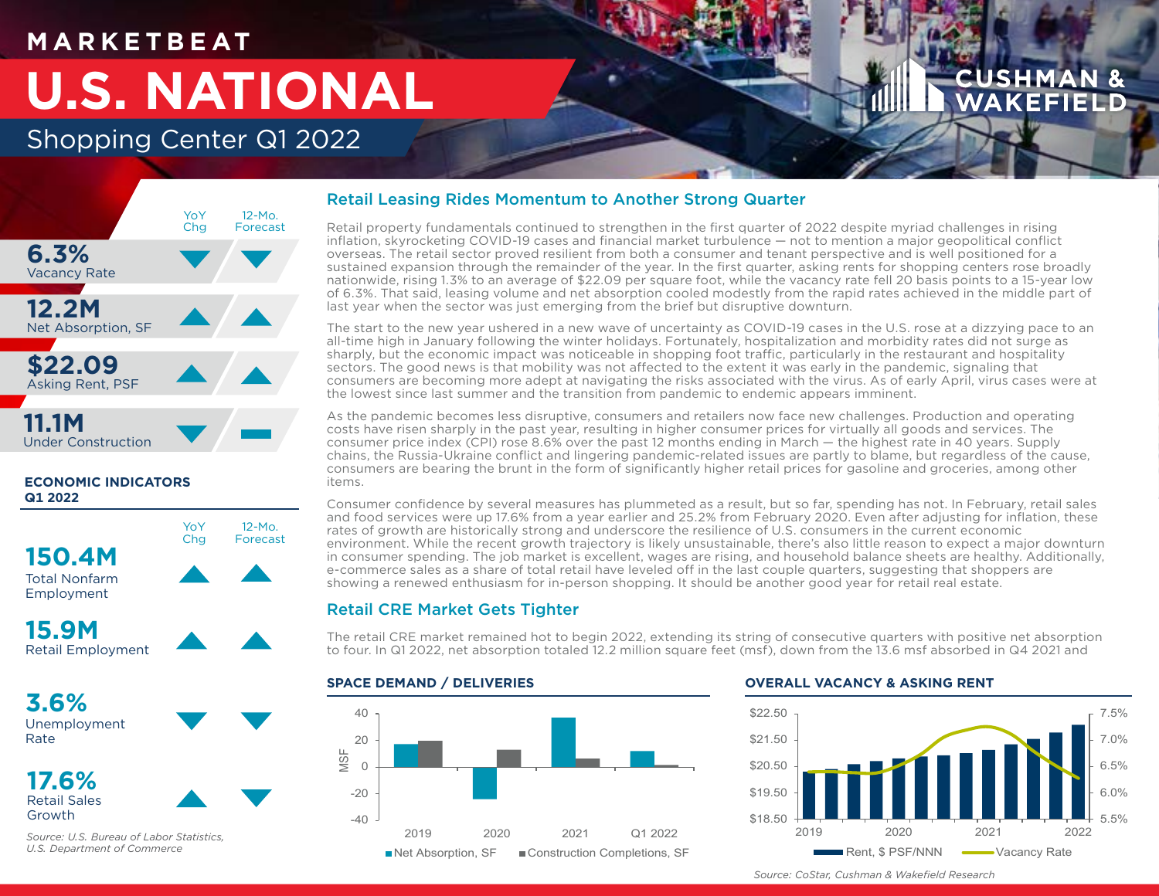## **M A R K E T B E AT**

# **U.S. NATIONAL**

## Shopping Center Q1 2022



### **ECONOMIC INDICATORS Q1 2022**

**150.4M** Total Nonfarm Employment



YoY **Chg** 

12-Mo. Forecast

**15.9M** Retail Employment

**3.6%** Unemployment Rate



Growth

*Source: U.S. Bureau of Labor Statistics, U.S. Department of Commerce*

## Retail Leasing Rides Momentum to Another Strong Quarter

Retail property fundamentals continued to strengthen in the first quarter of 2022 despite myriad challenges in rising inflation, skyrocketing COVID-19 cases and financial market turbulence — not to mention a major geopolitical conflict overseas. The retail sector proved resilient from both a consumer and tenant perspective and is well positioned for a sustained expansion through the remainder of the year. In the first quarter, asking rents for shopping centers rose broadly nationwide, rising 1.3% to an average of \$22.09 per square foot, while the vacancy rate fell 20 basis points to a 15-year low of 6.3%. That said, leasing volume and net absorption cooled modestly from the rapid rates achieved in the middle part of last year when the sector was just emerging from the brief but disruptive downturn.

The start to the new year ushered in a new wave of uncertainty as COVID-19 cases in the U.S. rose at a dizzying pace to an all-time high in January following the winter holidays. Fortunately, hospitalization and morbidity rates did not surge as sharply, but the economic impact was noticeable in shopping foot traffic, particularly in the restaurant and hospitality sectors. The good news is that mobility was not affected to the extent it was early in the pandemic, signaling that consumers are becoming more adept at navigating the risks associated with the virus. As of early April, virus cases were at the lowest since last summer and the transition from pandemic to endemic appears imminent.

As the pandemic becomes less disruptive, consumers and retailers now face new challenges. Production and operating costs have risen sharply in the past year, resulting in higher consumer prices for virtually all goods and services. The consumer price index (CPI) rose 8.6% over the past 12 months ending in March — the highest rate in 40 years. Supply chains, the Russia-Ukraine conflict and lingering pandemic-related issues are partly to blame, but regardless of the cause, consumers are bearing the brunt in the form of significantly higher retail prices for gasoline and groceries, among other items.

Consumer confidence by several measures has plummeted as a result, but so far, spending has not. In February, retail sales and food services were up 17.6% from a year earlier and 25.2% from February 2020. Even after adjusting for inflation, these rates of growth are historically strong and underscore the resilience of U.S. consumers in the current economic environment. While the recent growth trajectory is likely unsustainable, there's also little reason to expect a major downturn in consumer spending. The job market is excellent, wages are rising, and household balance sheets are healthy. Additionally, e-commerce sales as a share of total retail have leveled off in the last couple quarters, suggesting that shoppers are showing a renewed enthusiasm for in-person shopping. It should be another good year for retail real estate.

## Retail CRE Market Gets Tighter

The retail CRE market remained hot to begin 2022, extending its string of consecutive quarters with positive net absorption to four. In Q1 2022, net absorption totaled 12.2 million square feet (msf), down from the 13.6 msf absorbed in Q4 2021 and

### **SPACE DEMAND / DELIVERIES**



### **OVERALL VACANCY & ASKING RENT**



*Source: CoStar, Cushman & Wakefield Research*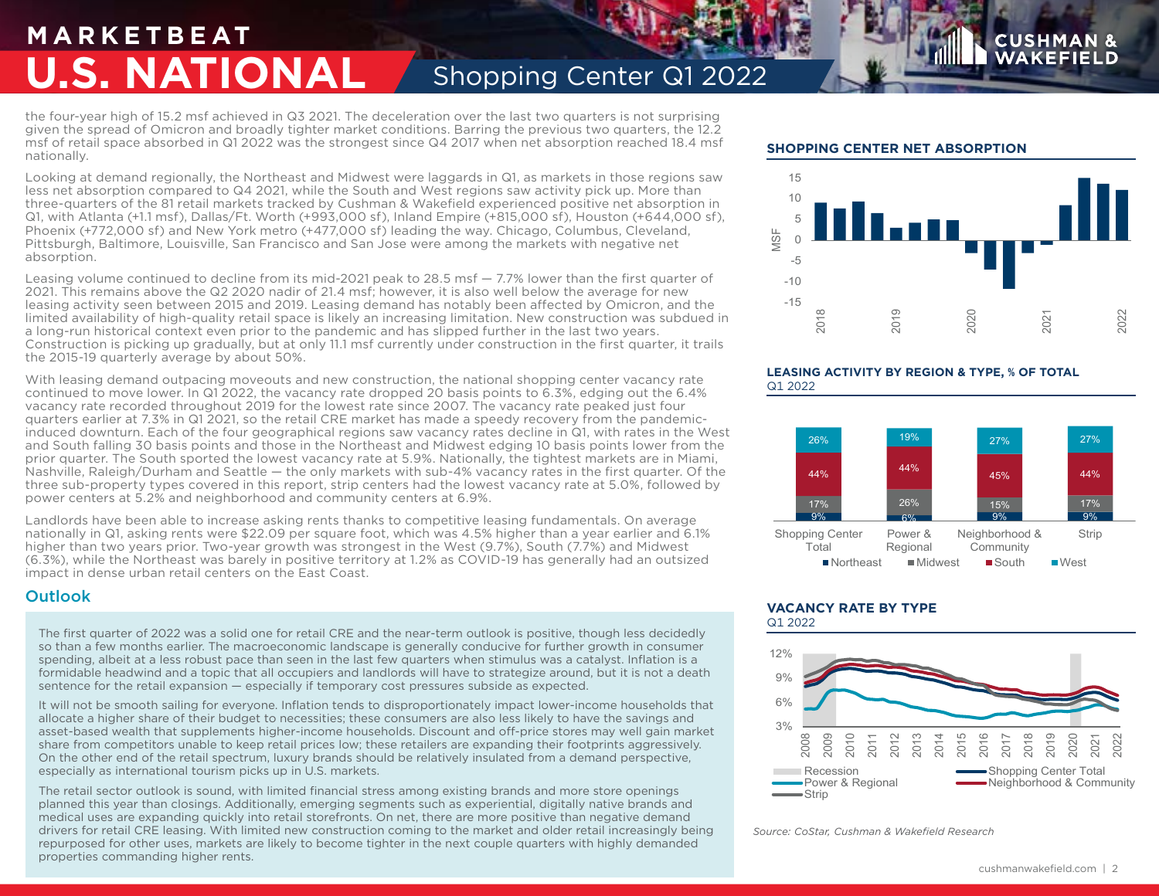## **M A R K E T B E AT U.S. NATIONAL** Shopping Center Q1 2022

the four-year high of 15.2 msf achieved in Q3 2021. The deceleration over the last two quarters is not surprising given the spread of Omicron and broadly tighter market conditions. Barring the previous two quarters, the 12.2 msf of retail space absorbed in Q1 2022 was the strongest since Q4 2017 when net absorption reached 18.4 msf nationally.

Looking at demand regionally, the Northeast and Midwest were laggards in Q1, as markets in those regions saw less net absorption compared to Q4 2021, while the South and West regions saw activity pick up. More than three-quarters of the 81 retail markets tracked by Cushman & Wakefield experienced positive net absorption in Q1, with Atlanta (+1.1 msf), Dallas/Ft. Worth (+993,000 sf), Inland Empire (+815,000 sf), Houston (+644,000 sf), Phoenix (+772,000 sf) and New York metro (+477,000 sf) leading the way. Chicago, Columbus, Cleveland, Pittsburgh, Baltimore, Louisville, San Francisco and San Jose were among the markets with negative net absorption.

Leasing volume continued to decline from its mid-2021 peak to 28.5 msf — 7.7% lower than the first quarter of 2021. This remains above the Q2 2020 nadir of 21.4 msf; however, it is also well below the average for new leasing activity seen between 2015 and 2019. Leasing demand has notably been affected by Omicron, and the limited availability of high-quality retail space is likely an increasing limitation. New construction was subdued in a long-run historical context even prior to the pandemic and has slipped further in the last two years. Construction is picking up gradually, but at only 11.1 msf currently under construction in the first quarter, it trails the 2015-19 quarterly average by about 50%.

With leasing demand outpacing moveouts and new construction, the national shopping center vacancy rate continued to move lower. In Q1 2022, the vacancy rate dropped 20 basis points to 6.3%, edging out the 6.4% vacancy rate recorded throughout 2019 for the lowest rate since 2007. The vacancy rate peaked just four quarters earlier at 7.3% in Q1 2021, so the retail CRE market has made a speedy recovery from the pandemicinduced downturn. Each of the four geographical regions saw vacancy rates decline in Q1, with rates in the West and South falling 30 basis points and those in the Northeast and Midwest edging 10 basis points lower from the prior quarter. The South sported the lowest vacancy rate at 5.9%. Nationally, the tightest markets are in Miami, Nashville, Raleigh/Durham and Seattle — the only markets with sub-4% vacancy rates in the first quarter. Of the three sub-property types covered in this report, strip centers had the lowest vacancy rate at 5.0%, followed by power centers at 5.2% and neighborhood and community centers at 6.9%.

Landlords have been able to increase asking rents thanks to competitive leasing fundamentals. On average nationally in Q1, asking rents were \$22.09 per square foot, which was 4.5% higher than a year earlier and 6.1% higher than two years prior. Two-year growth was strongest in the West (9.7%), South (7.7%) and Midwest (6.3%), while the Northeast was barely in positive territory at 1.2% as COVID-19 has generally had an outsized impact in dense urban retail centers on the East Coast.

### **Outlook**

The first quarter of 2022 was a solid one for retail CRE and the near-term outlook is positive, though less decidedly so than a few months earlier. The macroeconomic landscape is generally conducive for further growth in consumer spending, albeit at a less robust pace than seen in the last few quarters when stimulus was a catalyst. Inflation is a formidable headwind and a topic that all occupiers and landlords will have to strategize around, but it is not a death sentence for the retail expansion — especially if temporary cost pressures subside as expected.

It will not be smooth sailing for everyone. Inflation tends to disproportionately impact lower-income households that allocate a higher share of their budget to necessities; these consumers are also less likely to have the savings and asset-based wealth that supplements higher-income households. Discount and off-price stores may well gain market share from competitors unable to keep retail prices low; these retailers are expanding their footprints aggressively. On the other end of the retail spectrum, luxury brands should be relatively insulated from a demand perspective, especially as international tourism picks up in U.S. markets.

The retail sector outlook is sound, with limited financial stress among existing brands and more store openings planned this year than closings. Additionally, emerging segments such as experiential, digitally native brands and medical uses are expanding quickly into retail storefronts. On net, there are more positive than negative demand drivers for retail CRE leasing. With limited new construction coming to the market and older retail increasingly being repurposed for other uses, markets are likely to become tighter in the next couple quarters with highly demanded properties commanding higher rents.

### **SHOPPING CENTER NET ABSORPTION**



**CUSHM** 

### **LEASING ACTIVITY BY REGION & TYPE, % OF TOTAL** Q1 2022



### **VACANCY RATE BY TYPE** Q1 2022



*Source: CoStar, Cushman & Wakefield Research*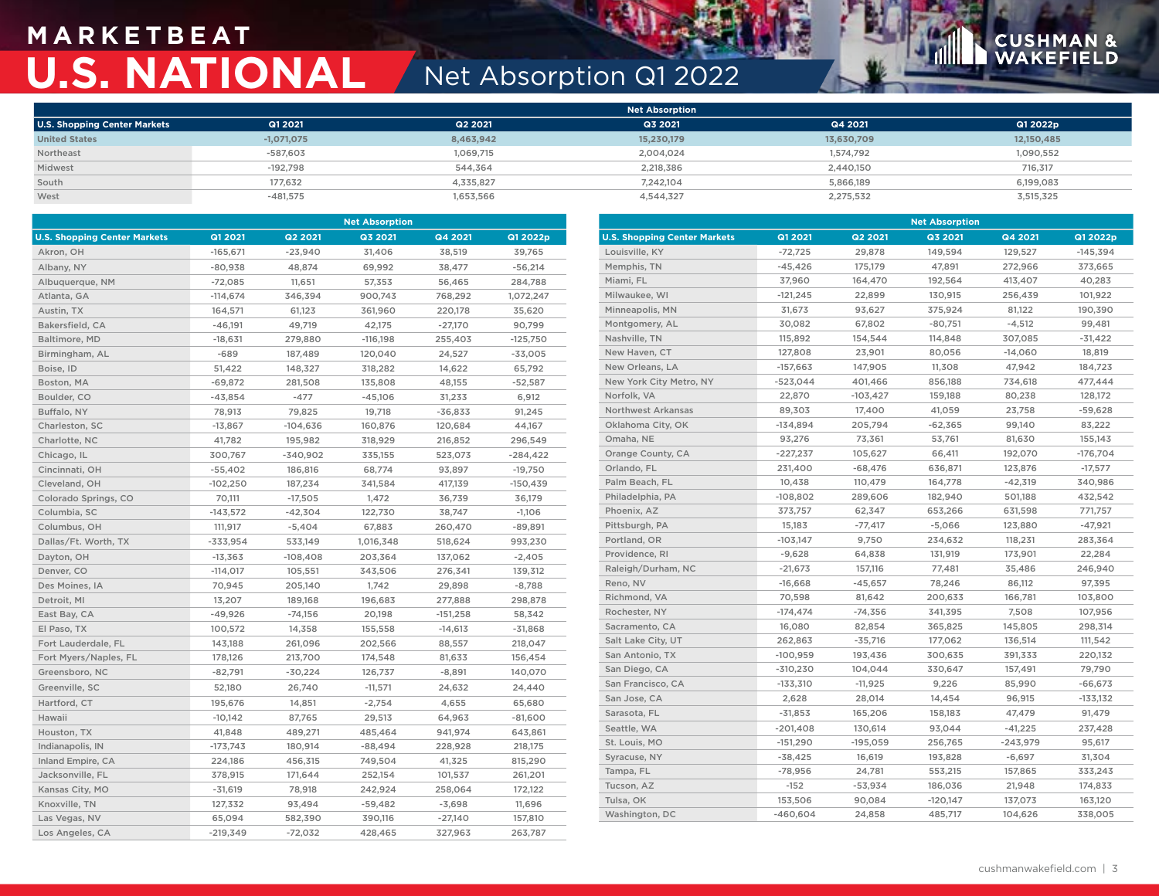## **M A R K E T B E AT U.S. NATIONAL** Net Absorption Q1 2022

## **CUSHMAN &**<br>WAKEFIELD

|                                     |              |           | Net Absorption |            |            |
|-------------------------------------|--------------|-----------|----------------|------------|------------|
| <b>U.S. Shopping Center Markets</b> | Q1 2021      | Q2 2021   | Q3 2021        | Q4 2021    | Q1 2022p   |
| <b>United States</b>                | $-1,071,075$ | 8,463,942 | 15,230,179     | 13,630,709 | 12,150,485 |
| Northeast                           | $-587,603$   | 1,069,715 | 2,004,024      | 1,574,792  | 1,090,552  |
| Midwest                             | $-192.798$   | 544.364   | 2,218,386      | 2,440,150  | 716,317    |
| South                               | 177,632      | 4,335,827 | 7,242,104      | 5,866,189  | 6,199,083  |
| West                                | $-481,575$   | 1,653,566 | 4,544,327      | 2,275,532  | 3,515,325  |

| <b>Net Absorption</b>               |            |            |            |            | <b>Net Absorption</b> |                                     |            |            |            |            |            |
|-------------------------------------|------------|------------|------------|------------|-----------------------|-------------------------------------|------------|------------|------------|------------|------------|
| <b>U.S. Shopping Center Markets</b> | Q1 2021    | Q2 2021    | Q3 2021    | Q4 2021    | Q1 2022p              | <b>U.S. Shopping Center Markets</b> | Q1 2021    | Q2 2021    | Q3 2021    | Q4 2021    | Q1 2022p   |
| Akron, OH                           | $-165,671$ | $-23,940$  | 31,406     | 38,519     | 39,765                | Louisville, KY                      | $-72,725$  | 29,878     | 149,594    | 129,527    | $-145,394$ |
| Albany, NY                          | $-80,938$  | 48,874     | 69,992     | 38,477     | $-56,214$             | Memphis, TN                         | $-45,426$  | 175,179    | 47,891     | 272,966    | 373,665    |
| Albuquerque, NM                     | $-72,085$  | 11,651     | 57,353     | 56,465     | 284,788               | Miami, FL                           | 37,960     | 164,470    | 192,564    | 413,407    | 40,283     |
| Atlanta, GA                         | $-114,674$ | 346,394    | 900,743    | 768,292    | 1,072,247             | Milwaukee, WI                       | $-121,245$ | 22,899     | 130,915    | 256,439    | 101,922    |
| Austin, TX                          | 164,571    | 61,123     | 361,960    | 220,178    | 35,620                | Minneapolis, MN                     | 31,673     | 93,627     | 375,924    | 81,122     | 190,390    |
| Bakersfield, CA                     | $-46,191$  | 49,719     | 42,175     | $-27,170$  | 90,799                | Montgomery, AL                      | 30,082     | 67,802     | $-80,751$  | $-4,512$   | 99,481     |
| Baltimore, MD                       | $-18,631$  | 279,880    | $-116,198$ | 255,403    | $-125,750$            | Nashville, TN                       | 115,892    | 154,544    | 114,848    | 307,085    | $-31,422$  |
| Birmingham, AL                      | $-689$     | 187,489    | 120,040    | 24,527     | $-33,005$             | New Haven, CT                       | 127,808    | 23,901     | 80,056     | $-14,060$  | 18,819     |
| Boise, ID                           | 51,422     | 148,327    | 318,282    | 14,622     | 65,792                | New Orleans, LA                     | $-157,663$ | 147,905    | 11,308     | 47,942     | 184,723    |
| Boston, MA                          | $-69,872$  | 281,508    | 135,808    | 48,155     | $-52,587$             | New York City Metro, NY             | $-523,044$ | 401,466    | 856,188    | 734,618    | 477,444    |
| Boulder, CO                         | $-43,854$  | $-477$     | $-45,106$  | 31,233     | 6,912                 | Norfolk, VA                         | 22,870     | $-103,427$ | 159,188    | 80,238     | 128,172    |
| Buffalo, NY                         | 78,913     | 79,825     | 19,718     | $-36,833$  | 91,245                | <b>Northwest Arkansas</b>           | 89,303     | 17,400     | 41,059     | 23,758     | $-59,628$  |
| Charleston, SC                      | $-13,867$  | $-104,636$ | 160,876    | 120,684    | 44,167                | Oklahoma City, OK                   | $-134,894$ | 205,794    | $-62,365$  | 99,140     | 83,222     |
| Charlotte, NC                       | 41,782     | 195,982    | 318,929    | 216,852    | 296,549               | Omaha, NE                           | 93,276     | 73,361     | 53,761     | 81,630     | 155,143    |
| Chicago, IL                         | 300,767    | $-340,902$ | 335,155    | 523,073    | $-284,422$            | Orange County, CA                   | $-227,237$ | 105,627    | 66,411     | 192,070    | $-176,704$ |
| Cincinnati, OH                      | $-55,402$  | 186,816    | 68,774     | 93,897     | $-19,750$             | Orlando, FL                         | 231,400    | $-68,476$  | 636,871    | 123,876    | $-17,577$  |
| Cleveland, OH                       | $-102,250$ | 187,234    | 341,584    | 417,139    | $-150,439$            | Palm Beach, FL                      | 10,438     | 110,479    | 164,778    | $-42,319$  | 340,986    |
| Colorado Springs, CO                | 70,111     | $-17,505$  | 1,472      | 36,739     | 36,179                | Philadelphia, PA                    | $-108,802$ | 289,606    | 182,940    | 501,188    | 432,542    |
| Columbia, SC                        | $-143,572$ | $-42,304$  | 122,730    | 38,747     | $-1,106$              | Phoenix, AZ                         | 373,757    | 62,347     | 653,266    | 631,598    | 771,757    |
| Columbus, OH                        | 111,917    | $-5,404$   | 67,883     | 260,470    | $-89,891$             | Pittsburgh, PA                      | 15,183     | $-77,417$  | $-5,066$   | 123,880    | $-47,921$  |
| Dallas/Ft. Worth, TX                | $-333,954$ | 533,149    | 1,016,348  | 518,624    | 993,230               | Portland, OR                        | $-103,147$ | 9,750      | 234,632    | 118,231    | 283,364    |
| Dayton, OH                          | $-13,363$  | $-108,408$ | 203,364    | 137,062    | $-2,405$              | Providence, RI                      | $-9,628$   | 64,838     | 131,919    | 173,901    | 22,284     |
| Denver, CO                          | $-114,017$ | 105,551    | 343,506    | 276,341    | 139,312               | Raleigh/Durham, NC                  | $-21,673$  | 157,116    | 77,481     | 35,486     | 246,940    |
| Des Moines, IA                      | 70,945     | 205,140    | 1,742      | 29,898     | $-8,788$              | Reno, NV                            | $-16,668$  | $-45,657$  | 78,246     | 86,112     | 97,395     |
| Detroit, MI                         | 13,207     | 189,168    | 196,683    | 277,888    | 298,878               | Richmond, VA                        | 70,598     | 81,642     | 200,633    | 166,781    | 103,800    |
| East Bay, CA                        | $-49,926$  | $-74,156$  | 20,198     | $-151,258$ | 58,342                | Rochester, NY                       | $-174,474$ | $-74,356$  | 341,395    | 7,508      | 107,956    |
| El Paso, TX                         | 100,572    | 14,358     | 155,558    | $-14,613$  | $-31,868$             | Sacramento, CA                      | 16,080     | 82,854     | 365,825    | 145,805    | 298,314    |
| Fort Lauderdale, FL                 | 143,188    | 261,096    | 202,566    | 88,557     | 218,047               | Salt Lake City, UT                  | 262,863    | $-35,716$  | 177,062    | 136,514    | 111,542    |
| Fort Myers/Naples, FL               | 178,126    | 213,700    | 174,548    | 81,633     | 156,454               | San Antonio, TX                     | $-100,959$ | 193,436    | 300,635    | 391,333    | 220,132    |
| Greensboro, NC                      | $-82,791$  | $-30,224$  | 126,737    | $-8,891$   | 140,070               | San Diego, CA                       | $-310,230$ | 104,044    | 330,647    | 157,491    | 79,790     |
| Greenville, SC                      | 52,180     | 26,740     | $-11,571$  | 24,632     | 24,440                | San Francisco, CA                   | $-133,310$ | $-11,925$  | 9,226      | 85,990     | $-66,673$  |
| Hartford, CT                        | 195,676    | 14,851     | $-2,754$   | 4,655      | 65,680                | San Jose, CA                        | 2,628      | 28,014     | 14,454     | 96,915     | $-133,132$ |
| Hawaii                              | $-10,142$  | 87,765     | 29,513     | 64,963     | $-81,600$             | Sarasota, FL                        | $-31,853$  | 165,206    | 158,183    | 47,479     | 91,479     |
| Houston, TX                         | 41,848     | 489,271    | 485,464    | 941,974    | 643,861               | Seattle, WA                         | $-201,408$ | 130,614    | 93,044     | $-41,225$  | 237,428    |
| Indianapolis, IN                    | $-173,743$ | 180,914    | $-88,494$  | 228,928    | 218,175               | St. Louis, MO                       | $-151,290$ | $-195,059$ | 256,765    | $-243,979$ | 95,617     |
| Inland Empire, CA                   | 224,186    | 456,315    | 749,504    | 41,325     | 815,290               | Syracuse, NY                        | $-38,425$  | 16,619     | 193,828    | $-6,697$   | 31,304     |
| Jacksonville, FL                    | 378,915    | 171,644    | 252,154    | 101,537    | 261,201               | Tampa, FL                           | $-78,956$  | 24,781     | 553,215    | 157,865    | 333,243    |
| Kansas City, MO                     | $-31,619$  | 78,918     | 242,924    | 258,064    | 172,122               | Tucson, AZ                          | $-152$     | $-53,934$  | 186,036    | 21,948     | 174,833    |
| Knoxville, TN                       | 127,332    | 93,494     | $-59,482$  | $-3,698$   | 11,696                | Tulsa, OK                           | 153,506    | 90,084     | $-120,147$ | 137,073    | 163,120    |
| Las Vegas, NV                       | 65,094     | 582,390    | 390,116    | $-27,140$  | 157,810               | Washington, DC                      | $-460,604$ | 24,858     | 485,717    | 104,626    | 338,005    |
| Los Angeles, CA                     | $-219,349$ | $-72,032$  | 428,465    | 327,963    | 263,787               |                                     |            |            |            |            |            |
|                                     |            |            |            |            |                       |                                     |            |            |            |            |            |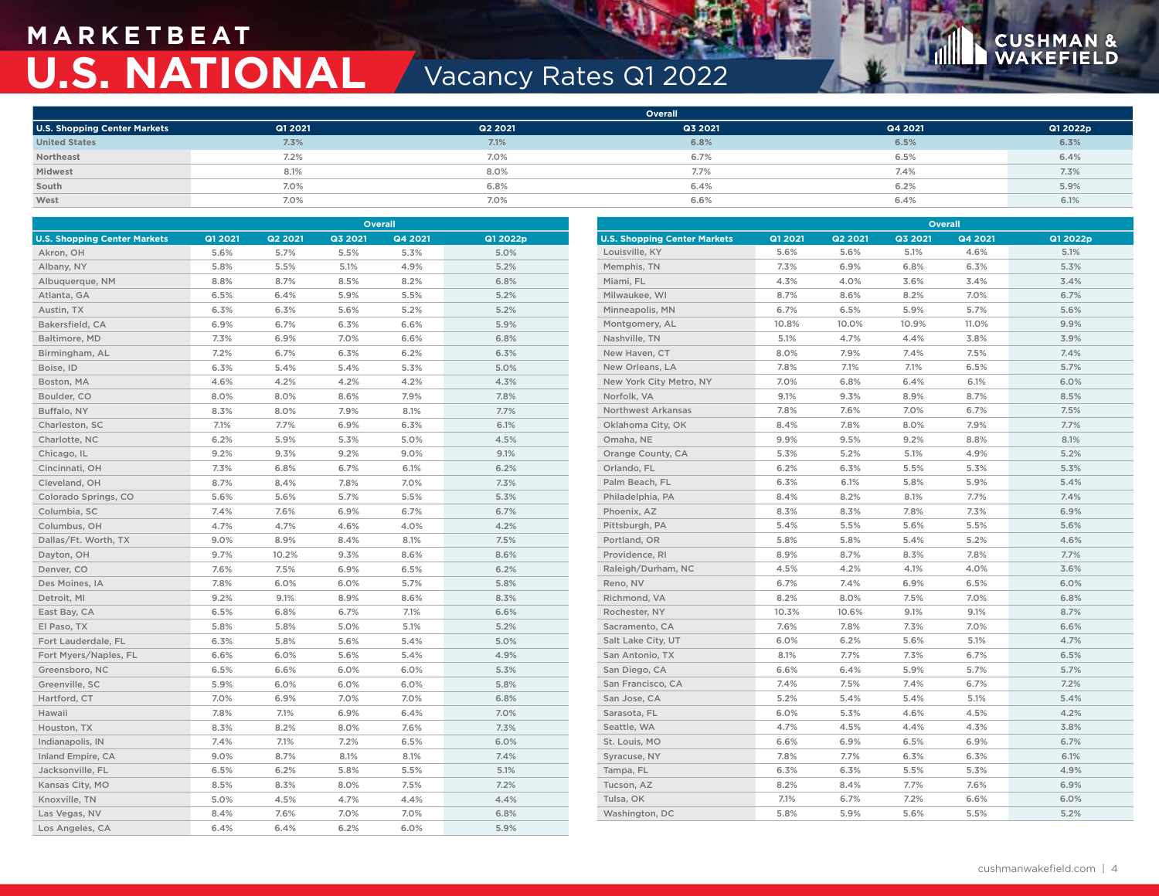## **M A R K E T B E AT U.S. NATIONAL Vacancy Rates Q1 2022**



**Overall**

|                                     |         |         | <b>Overall</b> |         |          |
|-------------------------------------|---------|---------|----------------|---------|----------|
| <b>U.S. Shopping Center Markets</b> | Q1 2021 | Q2 2021 | Q3 2021        | Q4 2021 | Q1 2022p |
| <b>United States</b>                | 7.3%    | 7.1%    | 6.8%           | 6.5%    | 6.3%     |
| Northeast                           | 7.2%    | 7.0%    | 6.7%           | 6.5%    | 6.4%     |
| Midwest                             | 8.1%    | 8.0%    | 7.7%           | 7.4%    | 7.3%     |
| South                               | 7.0%    | 6.8%    | 6.4%           | 6.2%    | 5.9%     |
| West                                | 7.0%    | 7.0%    | 6.6%           | 6.4%    | 6.1%     |

| Overall                             |         |         |         | Overall |          |                                     |         |         |         |         |          |
|-------------------------------------|---------|---------|---------|---------|----------|-------------------------------------|---------|---------|---------|---------|----------|
| <b>U.S. Shopping Center Markets</b> | Q1 2021 | Q2 2021 | Q3 2021 | Q4 2021 | Q1 2022p | <b>U.S. Shopping Center Markets</b> | Q1 2021 | Q2 2021 | Q3 2021 | Q4 2021 | Q1 2022p |
| Akron, OH                           | 5.6%    | 5.7%    | 5.5%    | 5.3%    | 5.0%     | Louisville, KY                      | 5.6%    | 5.6%    | 5.1%    | 4.6%    | 5.1%     |
| Albany, NY                          | 5.8%    | 5.5%    | 5.1%    | 4.9%    | 5.2%     | Memphis, TN                         | 7.3%    | 6.9%    | 6.8%    | 6.3%    | 5.3%     |
| Albuquerque, NM                     | 8.8%    | 8.7%    | 8.5%    | 8.2%    | 6.8%     | Miami, FL                           | 4.3%    | 4.0%    | 3.6%    | 3.4%    | 3.4%     |
| Atlanta, GA                         | 6.5%    | 6.4%    | 5.9%    | 5.5%    | 5.2%     | Milwaukee, WI                       | 8.7%    | 8.6%    | 8.2%    | 7.0%    | 6.7%     |
| Austin, TX                          | 6.3%    | 6.3%    | 5.6%    | 5.2%    | 5.2%     | Minneapolis, MN                     | 6.7%    | 6.5%    | 5.9%    | 5.7%    | 5.6%     |
| Bakersfield, CA                     | 6.9%    | 6.7%    | 6.3%    | 6.6%    | 5.9%     | Montgomery, AL                      | 10.8%   | 10.0%   | 10.9%   | 11.0%   | 9.9%     |
| Baltimore, MD                       | 7.3%    | 6.9%    | 7.0%    | 6.6%    | 6.8%     | Nashville, TN                       | 5.1%    | 4.7%    | 4.4%    | 3.8%    | 3.9%     |
| Birmingham, AL                      | 7.2%    | 6.7%    | 6.3%    | 6.2%    | 6.3%     | New Haven, CT                       | 8.0%    | 7.9%    | 7.4%    | 7.5%    | 7.4%     |
| Boise, ID                           | 6.3%    | 5.4%    | 5.4%    | 5.3%    | 5.0%     | New Orleans, LA                     | 7.8%    | 7.1%    | 7.1%    | 6.5%    | 5.7%     |
| Boston, MA                          | 4.6%    | 4.2%    | 4.2%    | 4.2%    | 4.3%     | New York City Metro, NY             | 7.0%    | 6.8%    | 6.4%    | 6.1%    | 6.0%     |
| Boulder, CO                         | 8.0%    | 8.0%    | 8.6%    | 7.9%    | 7.8%     | Norfolk, VA                         | 9.1%    | 9.3%    | 8.9%    | 8.7%    | 8.5%     |
| Buffalo, NY                         | 8.3%    | 8.0%    | 7.9%    | 8.1%    | 7.7%     | <b>Northwest Arkansas</b>           | 7.8%    | 7.6%    | 7.0%    | 6.7%    | 7.5%     |
| Charleston, SC                      | 7.1%    | 7.7%    | 6.9%    | 6.3%    | 6.1%     | Oklahoma City, OK                   | 8.4%    | 7.8%    | 8.0%    | 7.9%    | 7.7%     |
| Charlotte, NC                       | 6.2%    | 5.9%    | 5.3%    | 5.0%    | 4.5%     | Omaha, NE                           | 9.9%    | 9.5%    | 9.2%    | 8.8%    | 8.1%     |
| Chicago, IL                         | 9.2%    | 9.3%    | 9.2%    | 9.0%    | 9.1%     | Orange County, CA                   | 5.3%    | 5.2%    | 5.1%    | 4.9%    | 5.2%     |
| Cincinnati, OH                      | 7.3%    | 6.8%    | 6.7%    | 6.1%    | 6.2%     | Orlando, FL                         | 6.2%    | 6.3%    | 5.5%    | 5.3%    | 5.3%     |
| Cleveland, OH                       | 8.7%    | 8.4%    | 7.8%    | 7.0%    | 7.3%     | Palm Beach, FL                      | 6.3%    | 6.1%    | 5.8%    | 5.9%    | 5.4%     |
| Colorado Springs, CO                | 5.6%    | 5.6%    | 5.7%    | 5.5%    | 5.3%     | Philadelphia, PA                    | 8.4%    | 8.2%    | 8.1%    | 7.7%    | 7.4%     |
| Columbia, SC                        | 7.4%    | 7.6%    | 6.9%    | 6.7%    | 6.7%     | Phoenix, AZ                         | 8.3%    | 8.3%    | 7.8%    | 7.3%    | 6.9%     |
| Columbus, OH                        | 4.7%    | 4.7%    | 4.6%    | 4.0%    | 4.2%     | Pittsburgh, PA                      | 5.4%    | 5.5%    | 5.6%    | 5.5%    | 5.6%     |
| Dallas/Ft. Worth, TX                | 9.0%    | 8.9%    | 8.4%    | 8.1%    | 7.5%     | Portland, OR                        | 5.8%    | 5.8%    | 5.4%    | 5.2%    | 4.6%     |
| Dayton, OH                          | 9.7%    | 10.2%   | 9.3%    | 8.6%    | 8.6%     | Providence, RI                      | 8.9%    | 8.7%    | 8.3%    | 7.8%    | 7.7%     |
| Denver, CO                          | 7.6%    | 7.5%    | 6.9%    | 6.5%    | 6.2%     | Raleigh/Durham, NC                  | 4.5%    | 4.2%    | 4.1%    | 4.0%    | 3.6%     |
| Des Moines, IA                      | 7.8%    | 6.0%    | 6.0%    | 5.7%    | 5.8%     | Reno, NV                            | 6.7%    | 7.4%    | 6.9%    | 6.5%    | 6.0%     |
| Detroit, MI                         | 9.2%    | 9.1%    | 8.9%    | 8.6%    | 8.3%     | Richmond, VA                        | 8.2%    | 8.0%    | 7.5%    | 7.0%    | 6.8%     |
| East Bay, CA                        | 6.5%    | 6.8%    | 6.7%    | 7.1%    | 6.6%     | Rochester, NY                       | 10.3%   | 10.6%   | 9.1%    | 9.1%    | 8.7%     |
| El Paso, TX                         | 5.8%    | 5.8%    | 5.0%    | 5.1%    | 5.2%     | Sacramento, CA                      | 7.6%    | 7.8%    | 7.3%    | 7.0%    | 6.6%     |
| Fort Lauderdale, FL                 | 6.3%    | 5.8%    | 5.6%    | 5.4%    | 5.0%     | Salt Lake City, UT                  | 6.0%    | 6.2%    | 5.6%    | 5.1%    | 4.7%     |
| Fort Myers/Naples, FL               | 6.6%    | 6.0%    | 5.6%    | 5.4%    | 4.9%     | San Antonio, TX                     | 8.1%    | 7.7%    | 7.3%    | 6.7%    | 6.5%     |
| Greensboro, NC                      | 6.5%    | 6.6%    | 6.0%    | 6.0%    | 5.3%     | San Diego, CA                       | 6.6%    | 6.4%    | 5.9%    | 5.7%    | 5.7%     |
| Greenville, SC                      | 5.9%    | 6.0%    | 6.0%    | 6.0%    | 5.8%     | San Francisco, CA                   | 7.4%    | 7.5%    | 7.4%    | 6.7%    | 7.2%     |
| Hartford, CT                        | 7.0%    | 6.9%    | 7.0%    | 7.0%    | 6.8%     | San Jose, CA                        | 5.2%    | 5.4%    | 5.4%    | 5.1%    | 5.4%     |
| Hawaii                              | 7.8%    | 7.1%    | 6.9%    | 6.4%    | 7.0%     | Sarasota, FL                        | 6.0%    | 5.3%    | 4.6%    | 4.5%    | 4.2%     |
| Houston, TX                         | 8.3%    | 8.2%    | 8.0%    | 7.6%    | 7.3%     | Seattle, WA                         | 4.7%    | 4.5%    | 4.4%    | 4.3%    | 3.8%     |
| Indianapolis, IN                    | 7.4%    | 7.1%    | 7.2%    | 6.5%    | 6.0%     | St. Louis, MO                       | 6.6%    | 6.9%    | 6.5%    | 6.9%    | 6.7%     |
| Inland Empire, CA                   | 9.0%    | 8.7%    | 8.1%    | 8.1%    | 7.4%     | Syracuse, NY                        | 7.8%    | 7.7%    | 6.3%    | 6.3%    | 6.1%     |
| Jacksonville, FL                    | 6.5%    | 6.2%    | 5.8%    | 5.5%    | 5.1%     | Tampa, FL                           | 6.3%    | 6.3%    | 5.5%    | 5.3%    | 4.9%     |
| Kansas City, MO                     | 8.5%    | 8.3%    | 8.0%    | 7.5%    | 7.2%     | Tucson, AZ                          | 8.2%    | 8.4%    | 7.7%    | 7.6%    | 6.9%     |
| Knoxville, TN                       | 5.0%    | 4.5%    | 4.7%    | 4.4%    | 4.4%     | Tulsa, OK                           | 7.1%    | 6.7%    | 7.2%    | 6.6%    | 6.0%     |
| Las Vegas, NV                       | 8.4%    | 7.6%    | 7.0%    | 7.0%    | 6.8%     | Washington, DC                      | 5.8%    | 5.9%    | 5.6%    | 5.5%    | 5.2%     |
| Los Angeles, CA                     | 6.4%    | 6.4%    | 6.2%    | 6.0%    | 5.9%     |                                     |         |         |         |         |          |

| cushmanwakefield.com   4 |  |
|--------------------------|--|
|                          |  |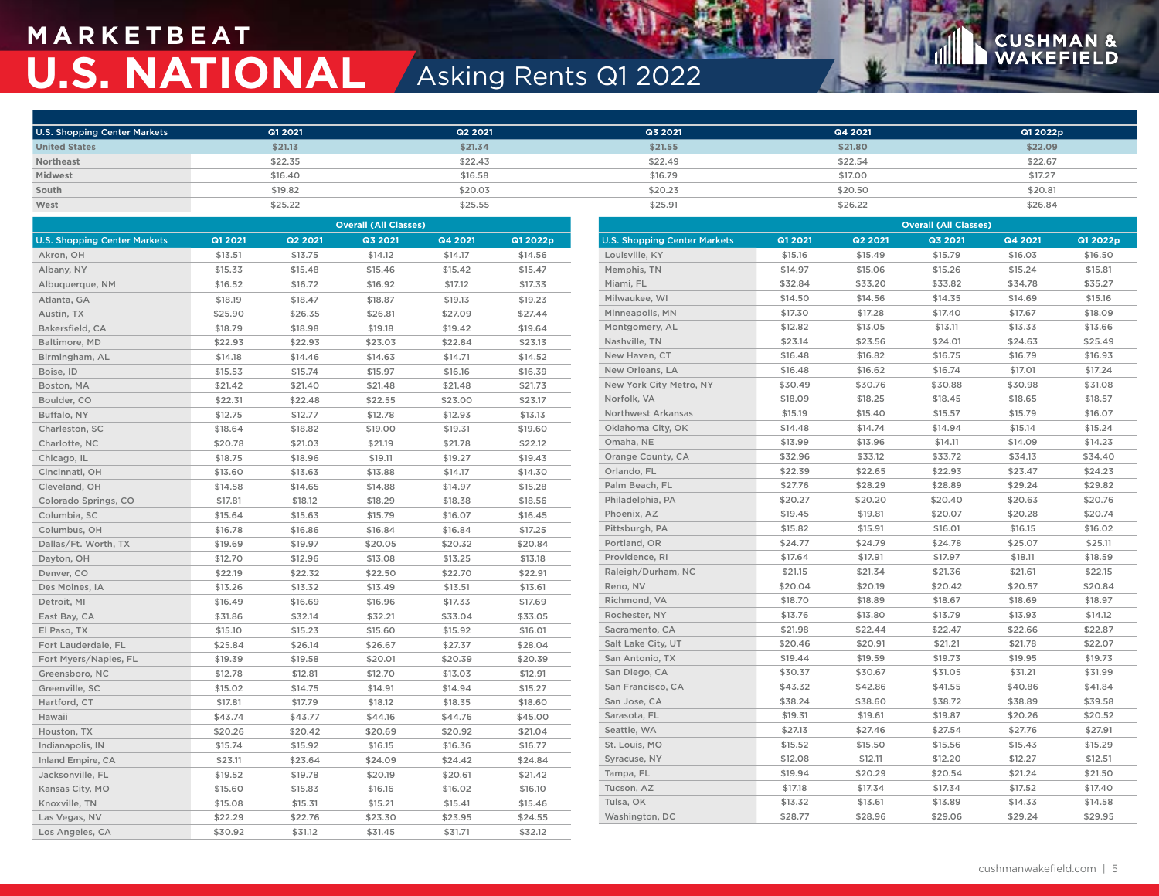## **M A R K E T B E AT U.S. NATIONAL** Asking Rents Q1 2022

## **CUSHMAN &**<br>WAKEFIELD

| <b>U.S. Shopping Center Markets</b> | Q1 2021 | Q2 2021 | Q3 2021 | Q4 2021 | Q1 2022p |
|-------------------------------------|---------|---------|---------|---------|----------|
| <b>United States</b>                | \$21.13 | \$21.34 | \$21.55 | \$21.80 | \$22.09  |
| Northeast                           | \$22.35 | \$22.43 | \$22.49 | \$22.54 | \$22.67  |
| Midwest                             | \$16.40 | \$16.58 | \$16.79 | \$17.00 | \$17.27  |
| South                               | \$19.82 | \$20.03 | \$20.23 | \$20.50 | \$20.81  |
| West                                | \$25.22 | \$25.55 | \$25.91 | \$26.22 | \$26.84  |

| <b>Overall (All Classes)</b>        |         |         |         |         | <b>Overall (All Classes)</b> |                                     |                |         |         |         |          |
|-------------------------------------|---------|---------|---------|---------|------------------------------|-------------------------------------|----------------|---------|---------|---------|----------|
| <b>U.S. Shopping Center Markets</b> | Q1 2021 | Q2 2021 | Q3 2021 | Q4 2021 | Q1 2022p                     | <b>U.S. Shopping Center Markets</b> | <b>Q1 2021</b> | Q2 2021 | Q3 2021 | Q4 2021 | Q1 2022p |
| Akron, OH                           | \$13.51 | \$13.75 | \$14.12 | \$14.17 | \$14.56                      | Louisville, KY                      | \$15.16        | \$15.49 | \$15.79 | \$16.03 | \$16.50  |
| Albany, NY                          | \$15.33 | \$15.48 | \$15.46 | \$15.42 | \$15.47                      | Memphis, TN                         | \$14.97        | \$15.06 | \$15.26 | \$15.24 | \$15.81  |
| Albuquerque, NM                     | \$16.52 | \$16.72 | \$16.92 | \$17.12 | \$17.33                      | Miami, FL                           | \$32.84        | \$33.20 | \$33.82 | \$34.78 | \$35.27  |
| Atlanta, GA                         | \$18.19 | \$18.47 | \$18.87 | \$19.13 | \$19.23                      | Milwaukee, WI                       | \$14.50        | \$14.56 | \$14.35 | \$14.69 | \$15.16  |
| Austin, TX                          | \$25.90 | \$26.35 | \$26.81 | \$27.09 | \$27.44                      | Minneapolis, MN                     | \$17.30        | \$17.28 | \$17.40 | \$17.67 | \$18.09  |
| Bakersfield, CA                     | \$18.79 | \$18.98 | \$19.18 | \$19.42 | \$19.64                      | Montgomery, AL                      | \$12.82        | \$13.05 | \$13.11 | \$13.33 | \$13.66  |
| Baltimore, MD                       | \$22.93 | \$22.93 | \$23.03 | \$22.84 | \$23.13                      | Nashville, TN                       | \$23.14        | \$23.56 | \$24.01 | \$24.63 | \$25.49  |
| Birmingham, AL                      | \$14.18 | \$14.46 | \$14.63 | \$14.71 | \$14.52                      | New Haven, CT                       | \$16.48        | \$16.82 | \$16.75 | \$16.79 | \$16.93  |
| Boise, ID                           | \$15.53 | \$15.74 | \$15.97 | \$16.16 | \$16.39                      | New Orleans, LA                     | \$16.48        | \$16.62 | \$16.74 | \$17.01 | \$17.24  |
| Boston, MA                          | \$21.42 | \$21.40 | \$21.48 | \$21.48 | \$21.73                      | New York City Metro, NY             | \$30.49        | \$30.76 | \$30.88 | \$30.98 | \$31.08  |
| Boulder, CO                         | \$22.31 | \$22.48 | \$22.55 | \$23.00 | \$23.17                      | Norfolk, VA                         | \$18.09        | \$18.25 | \$18.45 | \$18.65 | \$18.57  |
| Buffalo, NY                         | \$12.75 | \$12.77 | \$12.78 | \$12.93 | \$13.13                      | <b>Northwest Arkansas</b>           | \$15.19        | \$15.40 | \$15.57 | \$15.79 | \$16.07  |
| Charleston, SC                      | \$18.64 | \$18.82 | \$19.00 | \$19.31 | \$19.60                      | Oklahoma City, OK                   | \$14.48        | \$14.74 | \$14.94 | \$15.14 | \$15.24  |
| Charlotte, NC                       | \$20.78 | \$21.03 | \$21.19 | \$21.78 | \$22.12                      | Omaha, NE                           | \$13.99        | \$13.96 | \$14.11 | \$14.09 | \$14.23  |
| Chicago, IL                         | \$18.75 | \$18.96 | \$19.11 | \$19.27 | \$19.43                      | Orange County, CA                   | \$32.96        | \$33.12 | \$33.72 | \$34.13 | \$34.40  |
| Cincinnati, OH                      | \$13.60 | \$13.63 | \$13.88 | \$14.17 | \$14.30                      | Orlando, FL                         | \$22.39        | \$22.65 | \$22.93 | \$23.47 | \$24.23  |
| Cleveland, OH                       | \$14.58 | \$14.65 | \$14.88 | \$14.97 | \$15.28                      | Palm Beach, FL                      | \$27.76        | \$28.29 | \$28.89 | \$29.24 | \$29.82  |
| Colorado Springs, CO                | \$17.81 | \$18.12 | \$18.29 | \$18.38 | \$18.56                      | Philadelphia, PA                    | \$20.27        | \$20.20 | \$20.40 | \$20.63 | \$20.76  |
| Columbia, SC                        | \$15.64 | \$15.63 | \$15.79 | \$16.07 | \$16.45                      | Phoenix, AZ                         | \$19.45        | \$19.81 | \$20.07 | \$20.28 | \$20.74  |
| Columbus, OH                        | \$16.78 | \$16.86 | \$16.84 | \$16.84 | \$17.25                      | Pittsburgh, PA                      | \$15.82        | \$15.91 | \$16.01 | \$16.15 | \$16.02  |
| Dallas/Ft. Worth, TX                | \$19.69 | \$19.97 | \$20.05 | \$20.32 | \$20.84                      | Portland, OR                        | \$24.77        | \$24.79 | \$24.78 | \$25.07 | \$25.11  |
| Dayton, OH                          | \$12.70 | \$12.96 | \$13.08 | \$13.25 | \$13.18                      | Providence, RI                      | \$17.64        | \$17.91 | \$17.97 | \$18.11 | \$18.59  |
| Denver, CO                          | \$22.19 | \$22.32 | \$22.50 | \$22.70 | \$22.91                      | Raleigh/Durham, NC                  | \$21.15        | \$21.34 | \$21.36 | \$21.61 | \$22.15  |
| Des Moines, IA                      | \$13.26 | \$13.32 | \$13.49 | \$13.51 | \$13.61                      | Reno, NV                            | \$20.04        | \$20.19 | \$20.42 | \$20.57 | \$20.84  |
| Detroit, MI                         | \$16.49 | \$16.69 | \$16.96 | \$17.33 | \$17.69                      | Richmond, VA                        | \$18.70        | \$18.89 | \$18.67 | \$18.69 | \$18.97  |
| East Bay, CA                        | \$31.86 | \$32.14 | \$32.21 | \$33.04 | \$33.05                      | Rochester, NY                       | \$13.76        | \$13.80 | \$13.79 | \$13.93 | \$14.12  |
| El Paso, TX                         | \$15.10 | \$15.23 | \$15.60 | \$15.92 | \$16.01                      | Sacramento, CA                      | \$21.98        | \$22.44 | \$22.47 | \$22.66 | \$22.87  |
| Fort Lauderdale, FL                 | \$25.84 | \$26.14 | \$26.67 | \$27.37 | \$28.04                      | Salt Lake City, UT                  | \$20.46        | \$20.91 | \$21.21 | \$21.78 | \$22.07  |
| Fort Myers/Naples, FL               | \$19.39 | \$19.58 | \$20.01 | \$20.39 | \$20.39                      | San Antonio, TX                     | \$19.44        | \$19.59 | \$19.73 | \$19.95 | \$19.73  |
| Greensboro, NC                      | \$12.78 | \$12.81 | \$12.70 | \$13.03 | \$12.91                      | San Diego, CA                       | \$30.37        | \$30.67 | \$31.05 | \$31.21 | \$31.99  |
| Greenville, SC                      | \$15.02 | \$14.75 | \$14.91 | \$14.94 | \$15.27                      | San Francisco, CA                   | \$43.32        | \$42.86 | \$41.55 | \$40.86 | \$41.84  |
| Hartford, CT                        | \$17.81 | \$17.79 | \$18.12 | \$18.35 | \$18.60                      | San Jose, CA                        | \$38.24        | \$38.60 | \$38.72 | \$38.89 | \$39.58  |
| Hawaii                              | \$43.74 | \$43.77 | \$44.16 | \$44.76 | \$45.00                      | Sarasota, FL                        | \$19.31        | \$19.61 | \$19.87 | \$20.26 | \$20.52  |
| Houston, TX                         | \$20.26 | \$20.42 | \$20.69 | \$20.92 | \$21.04                      | Seattle, WA                         | \$27.13        | \$27.46 | \$27.54 | \$27.76 | \$27.91  |
| Indianapolis, IN                    | \$15.74 | \$15.92 | \$16.15 | \$16.36 | \$16.77                      | St. Louis, MO                       | \$15.52        | \$15.50 | \$15.56 | \$15.43 | \$15.29  |
| Inland Empire, CA                   | \$23.11 | \$23.64 | \$24.09 | \$24.42 | \$24.84                      | Syracuse, NY                        | \$12.08        | \$12.11 | \$12.20 | \$12.27 | \$12.51  |
| Jacksonville, FL                    | \$19.52 | \$19.78 | \$20.19 | \$20.61 | \$21.42                      | Tampa, FL                           | \$19.94        | \$20.29 | \$20.54 | \$21.24 | \$21.50  |
| Kansas City, MO                     | \$15.60 | \$15.83 | \$16.16 | \$16.02 | \$16.10                      | Tucson, AZ                          | \$17.18        | \$17.34 | \$17.34 | \$17.52 | \$17.40  |
| Knoxville, TN                       | \$15.08 | \$15.31 | \$15.21 | \$15.41 | \$15.46                      | Tulsa, OK                           | \$13.32        | \$13.61 | \$13.89 | \$14.33 | \$14.58  |
| Las Vegas, NV                       | \$22.29 | \$22.76 | \$23.30 | \$23.95 | \$24.55                      | Washington, DC                      | \$28.77        | \$28.96 | \$29.06 | \$29.24 | \$29.95  |
| Los Angeles, CA                     | \$30.92 | \$31.12 | \$31.45 | \$31.71 | \$32.12                      |                                     |                |         |         |         |          |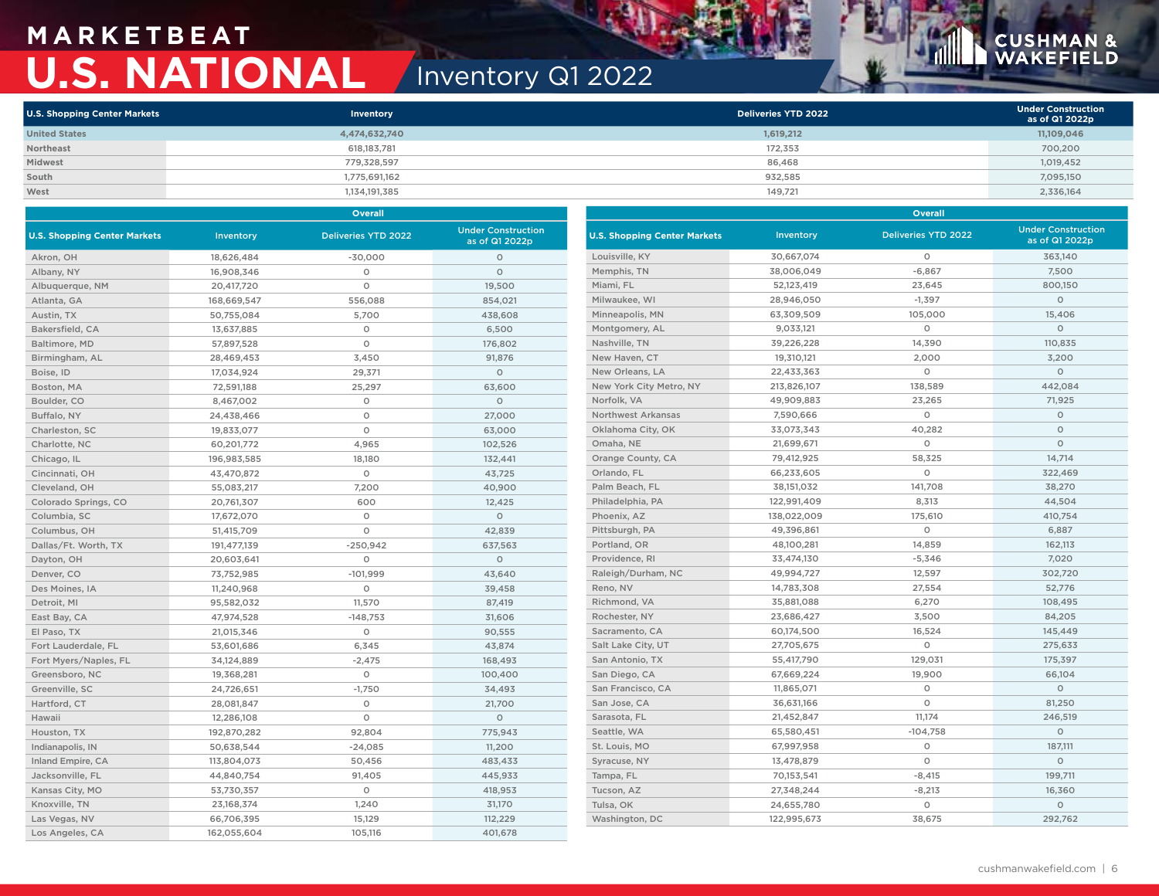## **M A R K E T B E AT U.S. NATIONAL** Inventory Q1 2022

## **CUSHMAN &**<br>WAKEFIELD

| <b>U.S. Shopping Center Markets</b> | <b>Inventory</b> | Deliveries YTD 2022 | <b>Under Construction</b><br>as of Q1 2022p |
|-------------------------------------|------------------|---------------------|---------------------------------------------|
| <b>United States</b>                | 4,474,632,740    | 1,619,212           | 11,109,046                                  |
| Northeast                           | 618,183,781      | 172.353             | 700,200                                     |
| Midwest                             | 779,328,597      | 86,468              | 1,019,452                                   |
| South                               | 1,775,691,162    | 932.585             | 7,095,150                                   |
| West                                | 1,134,191,385    | 149,721             | 2,336,164                                   |

|                                     |             | Overall                    |                                             | <b>Overall</b>                      |             |                            |                                             |  |
|-------------------------------------|-------------|----------------------------|---------------------------------------------|-------------------------------------|-------------|----------------------------|---------------------------------------------|--|
| <b>U.S. Shopping Center Markets</b> | Inventory   | <b>Deliveries YTD 2022</b> | <b>Under Construction</b><br>as of Q1 2022p | <b>U.S. Shopping Center Markets</b> | Inventory   | <b>Deliveries YTD 2022</b> | <b>Under Construction</b><br>as of Q1 2022p |  |
| Akron, OH                           | 18,626,484  | $-30,000$                  | $\circ$                                     | Louisville, KY                      | 30,667,074  | $\circ$                    | 363,140                                     |  |
| Albany, NY                          | 16,908,346  | $\circ$                    | $\circ$                                     | Memphis, TN                         | 38,006,049  | $-6,867$                   | 7,500                                       |  |
| Albuquerque, NM                     | 20,417,720  | $\circ$                    | 19,500                                      | Miami, FL                           | 52,123,419  | 23,645                     | 800,150                                     |  |
| Atlanta, GA                         | 168,669,547 | 556,088                    | 854,021                                     | Milwaukee, WI                       | 28,946,050  | $-1,397$                   | $\circ$                                     |  |
| Austin, TX                          | 50,755,084  | 5,700                      | 438,608                                     | Minneapolis, MN                     | 63,309,509  | 105,000                    | 15,406                                      |  |
| Bakersfield, CA                     | 13,637,885  | $\circ$                    | 6,500                                       | Montgomery, AL                      | 9,033,121   | $\circ$                    | $\circ$                                     |  |
| Baltimore, MD                       | 57,897,528  | $\circ$                    | 176,802                                     | Nashville, TN                       | 39,226,228  | 14,390                     | 110,835                                     |  |
| Birmingham, AL                      | 28,469,453  | 3,450                      | 91,876                                      | New Haven, CT                       | 19,310,121  | 2,000                      | 3,200                                       |  |
| Boise, ID                           | 17,034,924  | 29,371                     | $\circ$                                     | New Orleans, LA                     | 22,433,363  | $\circ$                    | $\circ$                                     |  |
| Boston, MA                          | 72,591,188  | 25,297                     | 63,600                                      | New York City Metro, NY             | 213,826,107 | 138,589                    | 442,084                                     |  |
| Boulder, CO                         | 8,467,002   | $\circ$                    | $\circ$                                     | Norfolk, VA                         | 49,909,883  | 23,265                     | 71,925                                      |  |
| Buffalo, NY                         | 24,438,466  | $\circ$                    | 27,000                                      | <b>Northwest Arkansas</b>           | 7,590,666   | $\circ$                    | $\circ$                                     |  |
| Charleston, SC                      | 19,833,077  | $\circ$                    | 63,000                                      | Oklahoma City, OK                   | 33,073,343  | 40,282                     | $\circ$                                     |  |
| Charlotte, NC                       | 60,201,772  | 4,965                      | 102,526                                     | Omaha, NE                           | 21,699,671  | $\circ$                    | $\circ$                                     |  |
| Chicago, IL                         | 196,983,585 | 18,180                     | 132,441                                     | Orange County, CA                   | 79,412,925  | 58,325                     | 14,714                                      |  |
| Cincinnati, OH                      | 43,470,872  | $\circ$                    | 43,725                                      | Orlando, FL                         | 66,233,605  | $\circ$                    | 322,469                                     |  |
| Cleveland, OH                       | 55,083,217  | 7,200                      | 40,900                                      | Palm Beach, FL                      | 38,151,032  | 141,708                    | 38,270                                      |  |
| Colorado Springs, CO                | 20,761,307  | 600                        | 12,425                                      | Philadelphia, PA                    | 122,991,409 | 8,313                      | 44,504                                      |  |
| Columbia, SC                        | 17,672,070  | $\circ$                    | $\circ$                                     | Phoenix, AZ                         | 138,022,009 | 175,610                    | 410,754                                     |  |
| Columbus, OH                        | 51,415,709  | $\circ$                    | 42,839                                      | Pittsburgh, PA                      | 49,396,861  | $\circ$                    | 6,887                                       |  |
| Dallas/Ft. Worth, TX                | 191,477,139 | $-250,942$                 | 637,563                                     | Portland, OR                        | 48,100,281  | 14,859                     | 162,113                                     |  |
| Dayton, OH                          | 20,603,641  | $\circ$                    | $\circ$                                     | Providence, RI                      | 33,474,130  | $-5,346$                   | 7,020                                       |  |
| Denver, CO                          | 73,752,985  | $-101,999$                 | 43,640                                      | Raleigh/Durham, NC                  | 49,994,727  | 12,597                     | 302,720                                     |  |
| Des Moines, IA                      | 11,240,968  | $\circ$                    | 39,458                                      | Reno, NV                            | 14,783,308  | 27,554                     | 52,776                                      |  |
| Detroit, MI                         | 95,582,032  | 11,570                     | 87,419                                      | Richmond, VA                        | 35,881,088  | 6,270                      | 108,495                                     |  |
| East Bay, CA                        | 47,974,528  | $-148,753$                 | 31,606                                      | Rochester, NY                       | 23,686,427  | 3,500                      | 84,205                                      |  |
| El Paso, TX                         | 21,015,346  | $\circ$                    | 90,555                                      | Sacramento, CA                      | 60,174,500  | 16,524                     | 145,449                                     |  |
| Fort Lauderdale, FL                 | 53,601,686  | 6,345                      | 43,874                                      | Salt Lake City, UT                  | 27,705,675  | $\circ$                    | 275,633                                     |  |
| Fort Myers/Naples, FL               | 34,124,889  | $-2,475$                   | 168,493                                     | San Antonio, TX                     | 55,417,790  | 129,031                    | 175,397                                     |  |
| Greensboro, NC                      | 19,368,281  | $\circ$                    | 100,400                                     | San Diego, CA                       | 67,669,224  | 19,900                     | 66,104                                      |  |
| Greenville, SC                      | 24,726,651  | $-1,750$                   | 34,493                                      | San Francisco, CA                   | 11,865,071  | $\circ$                    | $\circ$                                     |  |
| Hartford, CT                        | 28,081,847  | $\circ$                    | 21,700                                      | San Jose, CA                        | 36,631,166  | $\circ$                    | 81,250                                      |  |
| Hawaii                              | 12,286,108  | $\circ$                    | $\circ$                                     | Sarasota, FL                        | 21,452,847  | 11,174                     | 246,519                                     |  |
| Houston, TX                         | 192,870,282 | 92,804                     | 775,943                                     | Seattle, WA                         | 65,580,451  | $-104,758$                 | $\circ$                                     |  |
| Indianapolis, IN                    | 50,638,544  | $-24,085$                  | 11,200                                      | St. Louis, MO                       | 67,997,958  | $\circ$                    | 187,111                                     |  |
| Inland Empire, CA                   | 113,804,073 | 50,456                     | 483,433                                     | Syracuse, NY                        | 13,478,879  | $\circ$                    | $\Omega$                                    |  |
| Jacksonville, FL                    | 44,840,754  | 91,405                     | 445,933                                     | Tampa, FL                           | 70,153,541  | $-8,415$                   | 199,711                                     |  |
| Kansas City, MO                     | 53,730,357  | $\circ$                    | 418,953                                     | Tucson, AZ                          | 27,348,244  | $-8,213$                   | 16,360                                      |  |
| Knoxville, TN                       | 23,168,374  | 1,240                      | 31,170                                      | Tulsa, OK                           | 24,655,780  | $\circ$                    | $\circ$                                     |  |
| Las Vegas, NV                       | 66,706,395  | 15,129                     | 112,229                                     | Washington, DC                      | 122,995,673 | 38,675                     | 292,762                                     |  |
| Los Angeles, CA                     | 162,055,604 | 105,116                    | 401,678                                     |                                     |             |                            |                                             |  |